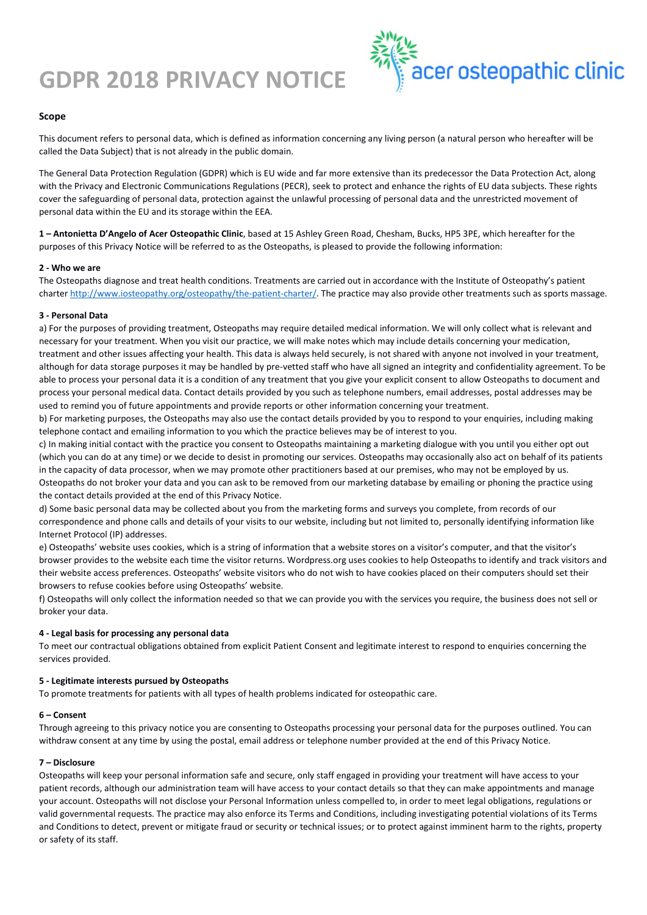# **GDPR 2018 PRIVACY NOTICE**



# **Scope**

This document refers to personal data, which is defined as information concerning any living person (a natural person who hereafter will be called the Data Subject) that is not already in the public domain.

The General Data Protection Regulation (GDPR) which is EU wide and far more extensive than its predecessor the Data Protection Act, along with the Privacy and Electronic Communications Regulations (PECR), seek to protect and enhance the rights of EU data subjects. These rights cover the safeguarding of personal data, protection against the unlawful processing of personal data and the unrestricted movement of personal data within the EU and its storage within the EEA.

**1 – Antonietta D'Angelo of Acer Osteopathic Clinic**, based at 15 Ashley Green Road, Chesham, Bucks, HP5 3PE, which hereafter for the purposes of this Privacy Notice will be referred to as the Osteopaths, is pleased to provide the following information:

## **2 - Who we are**

The Osteopaths diagnose and treat health conditions. Treatments are carried out in accordance with the Institute of Osteopathy's patient charte[r http://www.iosteopathy.org/osteopathy/the-patient-charter/.](http://www.iosteopathy.org/osteopathy/the-patient-charter/) The practice may also provide other treatments such as sports massage.

#### **3 - Personal Data**

a) For the purposes of providing treatment, Osteopaths may require detailed medical information. We will only collect what is relevant and necessary for your treatment. When you visit our practice, we will make notes which may include details concerning your medication, treatment and other issues affecting your health. This data is always held securely, is not shared with anyone not involved in your treatment, although for data storage purposes it may be handled by pre-vetted staff who have all signed an integrity and confidentiality agreement. To be able to process your personal data it is a condition of any treatment that you give your explicit consent to allow Osteopaths to document and process your personal medical data. Contact details provided by you such as telephone numbers, email addresses, postal addresses may be used to remind you of future appointments and provide reports or other information concerning your treatment.

b) For marketing purposes, the Osteopaths may also use the contact details provided by you to respond to your enquiries, including making telephone contact and emailing information to you which the practice believes may be of interest to you.

c) In making initial contact with the practice you consent to Osteopaths maintaining a marketing dialogue with you until you either opt out (which you can do at any time) or we decide to desist in promoting our services. Osteopaths may occasionally also act on behalf of its patients in the capacity of data processor, when we may promote other practitioners based at our premises, who may not be employed by us. Osteopaths do not broker your data and you can ask to be removed from our marketing database by emailing or phoning the practice using the contact details provided at the end of this Privacy Notice.

d) Some basic personal data may be collected about you from the marketing forms and surveys you complete, from records of our correspondence and phone calls and details of your visits to our website, including but not limited to, personally identifying information like Internet Protocol (IP) addresses.

e) Osteopaths' website uses cookies, which is a string of information that a website stores on a visitor's computer, and that the visitor's browser provides to the website each time the visitor returns. Wordpress.org uses cookies to help Osteopaths to identify and track visitors and their website access preferences. Osteopaths' website visitors who do not wish to have cookies placed on their computers should set their browsers to refuse cookies before using Osteopaths' website.

f) Osteopaths will only collect the information needed so that we can provide you with the services you require, the business does not sell or broker your data.

## **4 - Legal basis for processing any personal data**

To meet our contractual obligations obtained from explicit Patient Consent and legitimate interest to respond to enquiries concerning the services provided.

## **5 - Legitimate interests pursued by Osteopaths**

To promote treatments for patients with all types of health problems indicated for osteopathic care.

#### **6 – Consent**

Through agreeing to this privacy notice you are consenting to Osteopaths processing your personal data for the purposes outlined. You can withdraw consent at any time by using the postal, email address or telephone number provided at the end of this Privacy Notice.

## **7 – Disclosure**

Osteopaths will keep your personal information safe and secure, only staff engaged in providing your treatment will have access to your patient records, although our administration team will have access to your contact details so that they can make appointments and manage your account. Osteopaths will not disclose your Personal Information unless compelled to, in order to meet legal obligations, regulations or valid governmental requests. The practice may also enforce its Terms and Conditions, including investigating potential violations of its Terms and Conditions to detect, prevent or mitigate fraud or security or technical issues; or to protect against imminent harm to the rights, property or safety of its staff.